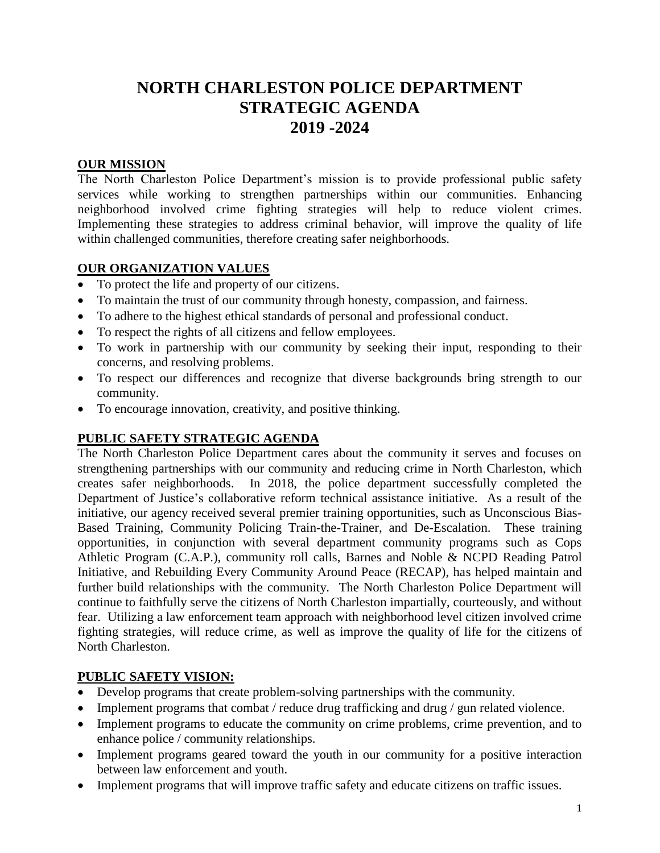# **NORTH CHARLESTON POLICE DEPARTMENT STRATEGIC AGENDA 2019 -2024**

#### **OUR MISSION**

The North Charleston Police Department's mission is to provide professional public safety services while working to strengthen partnerships within our communities. Enhancing neighborhood involved crime fighting strategies will help to reduce violent crimes. Implementing these strategies to address criminal behavior, will improve the quality of life within challenged communities, therefore creating safer neighborhoods.

## **OUR ORGANIZATION VALUES**

- To protect the life and property of our citizens.
- To maintain the trust of our community through honesty, compassion, and fairness.
- To adhere to the highest ethical standards of personal and professional conduct.
- To respect the rights of all citizens and fellow employees.
- To work in partnership with our community by seeking their input, responding to their concerns, and resolving problems.
- To respect our differences and recognize that diverse backgrounds bring strength to our community.
- To encourage innovation, creativity, and positive thinking.

# **PUBLIC SAFETY STRATEGIC AGENDA**

The North Charleston Police Department cares about the community it serves and focuses on strengthening partnerships with our community and reducing crime in North Charleston, which creates safer neighborhoods. In 2018, the police department successfully completed the Department of Justice's collaborative reform technical assistance initiative. As a result of the initiative, our agency received several premier training opportunities, such as Unconscious Bias-Based Training, Community Policing Train-the-Trainer, and De-Escalation. These training opportunities, in conjunction with several department community programs such as Cops Athletic Program (C.A.P.), community roll calls, Barnes and Noble & NCPD Reading Patrol Initiative, and Rebuilding Every Community Around Peace (RECAP), has helped maintain and further build relationships with the community. The North Charleston Police Department will continue to faithfully serve the citizens of North Charleston impartially, courteously, and without fear. Utilizing a law enforcement team approach with neighborhood level citizen involved crime fighting strategies, will reduce crime, as well as improve the quality of life for the citizens of North Charleston.

# **PUBLIC SAFETY VISION:**

- Develop programs that create problem-solving partnerships with the community.
- Implement programs that combat / reduce drug trafficking and drug / gun related violence.
- Implement programs to educate the community on crime problems, crime prevention, and to enhance police / community relationships.
- Implement programs geared toward the youth in our community for a positive interaction between law enforcement and youth.
- Implement programs that will improve traffic safety and educate citizens on traffic issues.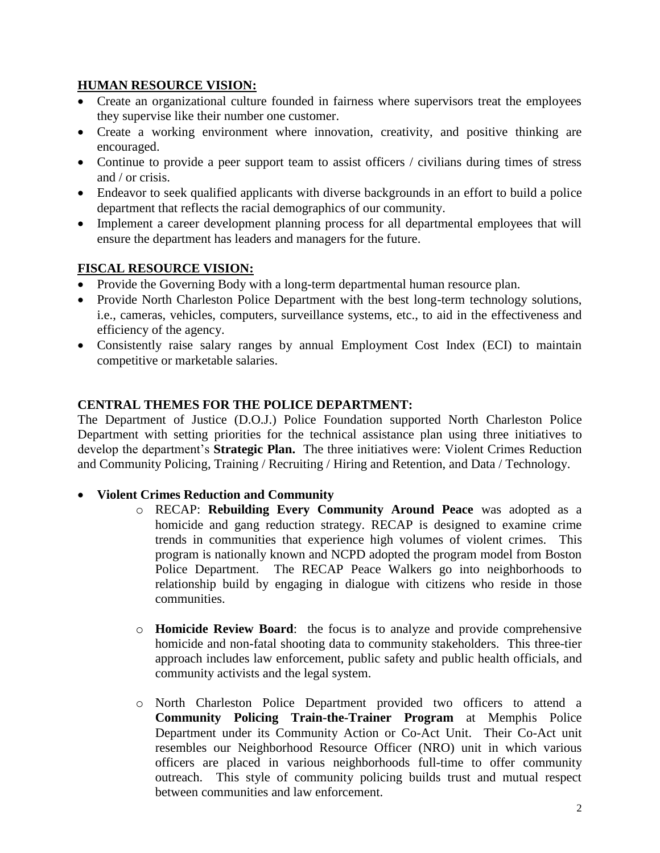#### **HUMAN RESOURCE VISION:**

- Create an organizational culture founded in fairness where supervisors treat the employees they supervise like their number one customer.
- Create a working environment where innovation, creativity, and positive thinking are encouraged.
- Continue to provide a peer support team to assist officers / civilians during times of stress and / or crisis.
- Endeavor to seek qualified applicants with diverse backgrounds in an effort to build a police department that reflects the racial demographics of our community.
- Implement a career development planning process for all departmental employees that will ensure the department has leaders and managers for the future.

#### **FISCAL RESOURCE VISION:**

- Provide the Governing Body with a long-term departmental human resource plan.
- Provide North Charleston Police Department with the best long-term technology solutions, i.e., cameras, vehicles, computers, surveillance systems, etc., to aid in the effectiveness and efficiency of the agency.
- Consistently raise salary ranges by annual Employment Cost Index (ECI) to maintain competitive or marketable salaries.

#### **CENTRAL THEMES FOR THE POLICE DEPARTMENT:**

The Department of Justice (D.O.J.) Police Foundation supported North Charleston Police Department with setting priorities for the technical assistance plan using three initiatives to develop the department's **Strategic Plan.** The three initiatives were: Violent Crimes Reduction and Community Policing, Training / Recruiting / Hiring and Retention, and Data / Technology.

#### • **Violent Crimes Reduction and Community**

- o RECAP: **Rebuilding Every Community Around Peace** was adopted as a homicide and gang reduction strategy. RECAP is designed to examine crime trends in communities that experience high volumes of violent crimes. This program is nationally known and NCPD adopted the program model from Boston Police Department. The RECAP Peace Walkers go into neighborhoods to relationship build by engaging in dialogue with citizens who reside in those communities.
- o **Homicide Review Board**: the focus is to analyze and provide comprehensive homicide and non-fatal shooting data to community stakeholders. This three-tier approach includes law enforcement, public safety and public health officials, and community activists and the legal system.
- o North Charleston Police Department provided two officers to attend a **Community Policing Train-the-Trainer Program** at Memphis Police Department under its Community Action or Co-Act Unit. Their Co-Act unit resembles our Neighborhood Resource Officer (NRO) unit in which various officers are placed in various neighborhoods full-time to offer community outreach. This style of community policing builds trust and mutual respect between communities and law enforcement.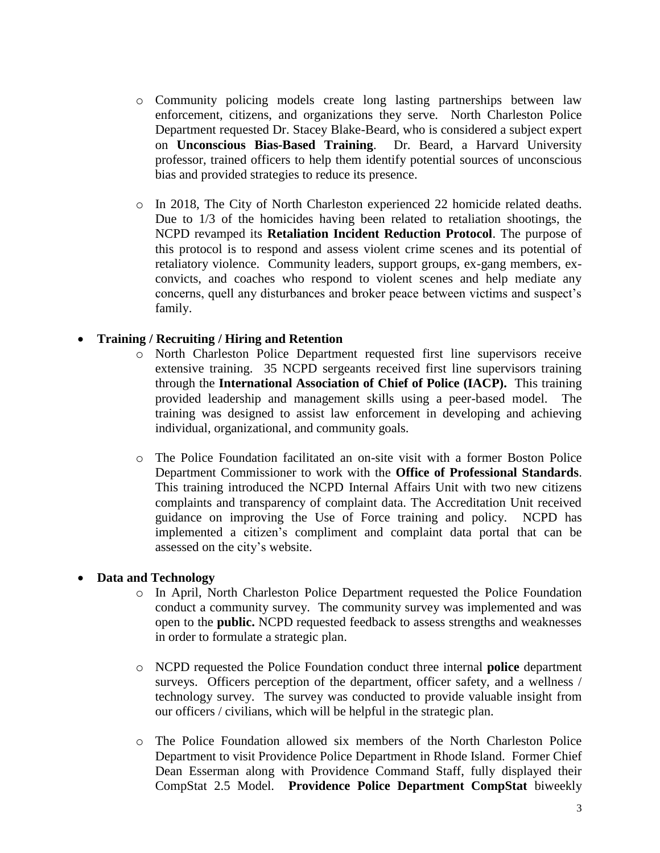- o Community policing models create long lasting partnerships between law enforcement, citizens, and organizations they serve. North Charleston Police Department requested Dr. Stacey Blake-Beard, who is considered a subject expert on **Unconscious Bias-Based Training**. Dr. Beard, a Harvard University professor, trained officers to help them identify potential sources of unconscious bias and provided strategies to reduce its presence.
- o In 2018, The City of North Charleston experienced 22 homicide related deaths. Due to 1/3 of the homicides having been related to retaliation shootings, the NCPD revamped its **Retaliation Incident Reduction Protocol**. The purpose of this protocol is to respond and assess violent crime scenes and its potential of retaliatory violence. Community leaders, support groups, ex-gang members, exconvicts, and coaches who respond to violent scenes and help mediate any concerns, quell any disturbances and broker peace between victims and suspect's family.

#### • **Training / Recruiting / Hiring and Retention**

- o North Charleston Police Department requested first line supervisors receive extensive training. 35 NCPD sergeants received first line supervisors training through the **International Association of Chief of Police (IACP).** This training provided leadership and management skills using a peer-based model. The training was designed to assist law enforcement in developing and achieving individual, organizational, and community goals.
- o The Police Foundation facilitated an on-site visit with a former Boston Police Department Commissioner to work with the **Office of Professional Standards**. This training introduced the NCPD Internal Affairs Unit with two new citizens complaints and transparency of complaint data. The Accreditation Unit received guidance on improving the Use of Force training and policy. NCPD has implemented a citizen's compliment and complaint data portal that can be assessed on the city's website.

#### • **Data and Technology**

- o In April, North Charleston Police Department requested the Police Foundation conduct a community survey. The community survey was implemented and was open to the **public.** NCPD requested feedback to assess strengths and weaknesses in order to formulate a strategic plan.
- o NCPD requested the Police Foundation conduct three internal **police** department surveys. Officers perception of the department, officer safety, and a wellness / technology survey. The survey was conducted to provide valuable insight from our officers / civilians, which will be helpful in the strategic plan.
- o The Police Foundation allowed six members of the North Charleston Police Department to visit Providence Police Department in Rhode Island. Former Chief Dean Esserman along with Providence Command Staff, fully displayed their CompStat 2.5 Model. **Providence Police Department CompStat** biweekly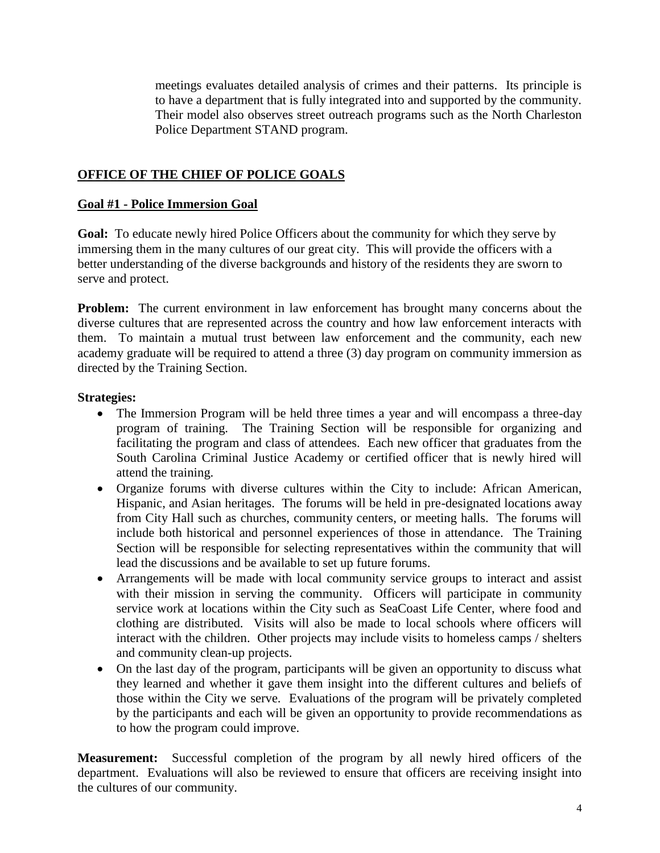meetings evaluates detailed analysis of crimes and their patterns. Its principle is to have a department that is fully integrated into and supported by the community. Their model also observes street outreach programs such as the North Charleston Police Department STAND program.

## **OFFICE OF THE CHIEF OF POLICE GOALS**

#### **Goal #1 - Police Immersion Goal**

**Goal:** To educate newly hired Police Officers about the community for which they serve by immersing them in the many cultures of our great city. This will provide the officers with a better understanding of the diverse backgrounds and history of the residents they are sworn to serve and protect.

**Problem:** The current environment in law enforcement has brought many concerns about the diverse cultures that are represented across the country and how law enforcement interacts with them. To maintain a mutual trust between law enforcement and the community, each new academy graduate will be required to attend a three (3) day program on community immersion as directed by the Training Section.

#### **Strategies:**

- The Immersion Program will be held three times a year and will encompass a three-day program of training. The Training Section will be responsible for organizing and facilitating the program and class of attendees. Each new officer that graduates from the South Carolina Criminal Justice Academy or certified officer that is newly hired will attend the training.
- Organize forums with diverse cultures within the City to include: African American, Hispanic, and Asian heritages. The forums will be held in pre-designated locations away from City Hall such as churches, community centers, or meeting halls. The forums will include both historical and personnel experiences of those in attendance. The Training Section will be responsible for selecting representatives within the community that will lead the discussions and be available to set up future forums.
- Arrangements will be made with local community service groups to interact and assist with their mission in serving the community. Officers will participate in community service work at locations within the City such as SeaCoast Life Center, where food and clothing are distributed. Visits will also be made to local schools where officers will interact with the children. Other projects may include visits to homeless camps / shelters and community clean-up projects.
- On the last day of the program, participants will be given an opportunity to discuss what they learned and whether it gave them insight into the different cultures and beliefs of those within the City we serve. Evaluations of the program will be privately completed by the participants and each will be given an opportunity to provide recommendations as to how the program could improve.

**Measurement:** Successful completion of the program by all newly hired officers of the department. Evaluations will also be reviewed to ensure that officers are receiving insight into the cultures of our community.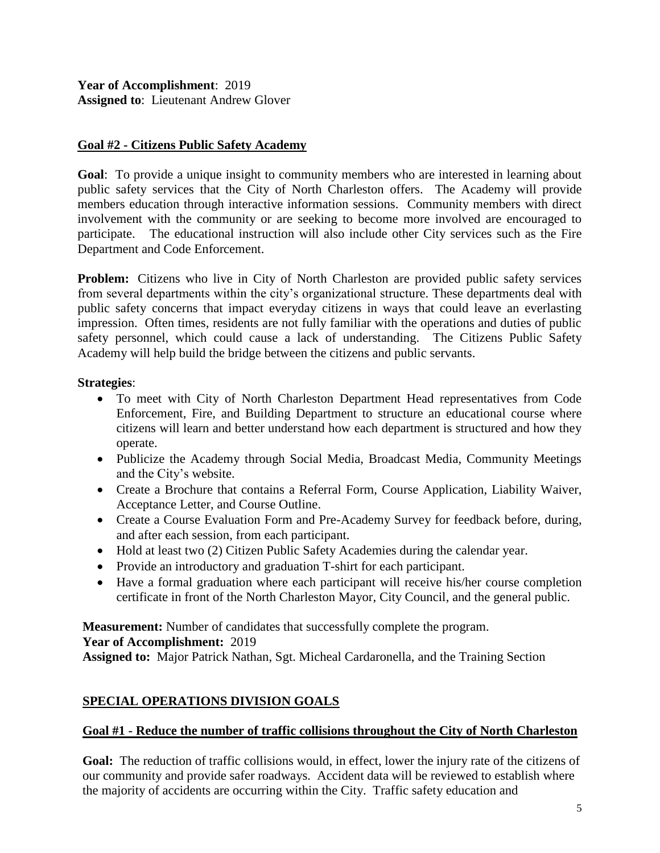**Year of Accomplishment**: 2019 **Assigned to**: Lieutenant Andrew Glover

## **Goal #2 - Citizens Public Safety Academy**

**Goal**: To provide a unique insight to community members who are interested in learning about public safety services that the City of North Charleston offers. The Academy will provide members education through interactive information sessions. Community members with direct involvement with the community or are seeking to become more involved are encouraged to participate. The educational instruction will also include other City services such as the Fire Department and Code Enforcement.

**Problem:** Citizens who live in City of North Charleston are provided public safety services from several departments within the city's organizational structure. These departments deal with public safety concerns that impact everyday citizens in ways that could leave an everlasting impression. Often times, residents are not fully familiar with the operations and duties of public safety personnel, which could cause a lack of understanding. The Citizens Public Safety Academy will help build the bridge between the citizens and public servants.

#### **Strategies**:

- To meet with City of North Charleston Department Head representatives from Code Enforcement, Fire, and Building Department to structure an educational course where citizens will learn and better understand how each department is structured and how they operate.
- Publicize the Academy through Social Media, Broadcast Media, Community Meetings and the City's website.
- Create a Brochure that contains a Referral Form, Course Application, Liability Waiver, Acceptance Letter, and Course Outline.
- Create a Course Evaluation Form and Pre-Academy Survey for feedback before, during, and after each session, from each participant.
- Hold at least two (2) Citizen Public Safety Academies during the calendar year.
- Provide an introductory and graduation T-shirt for each participant.
- Have a formal graduation where each participant will receive his/her course completion certificate in front of the North Charleston Mayor, City Council, and the general public.

**Measurement:** Number of candidates that successfully complete the program.

**Year of Accomplishment:** 2019

**Assigned to:** Major Patrick Nathan, Sgt. Micheal Cardaronella, and the Training Section

# **SPECIAL OPERATIONS DIVISION GOALS**

#### **Goal #1 - Reduce the number of traffic collisions throughout the City of North Charleston**

**Goal:** The reduction of traffic collisions would, in effect, lower the injury rate of the citizens of our community and provide safer roadways. Accident data will be reviewed to establish where the majority of accidents are occurring within the City. Traffic safety education and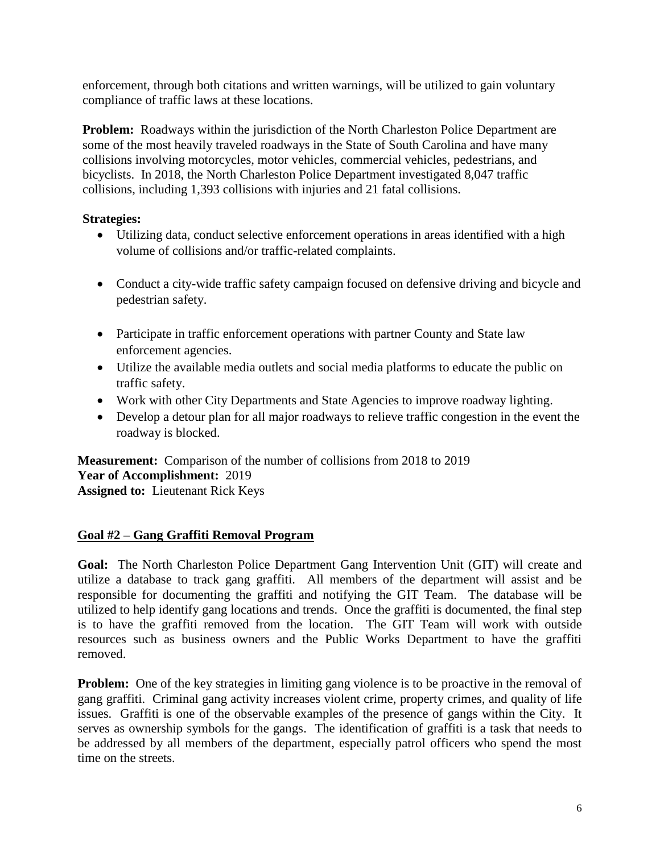enforcement, through both citations and written warnings, will be utilized to gain voluntary compliance of traffic laws at these locations.

**Problem:** Roadways within the jurisdiction of the North Charleston Police Department are some of the most heavily traveled roadways in the State of South Carolina and have many collisions involving motorcycles, motor vehicles, commercial vehicles, pedestrians, and bicyclists. In 2018, the North Charleston Police Department investigated 8,047 traffic collisions, including 1,393 collisions with injuries and 21 fatal collisions.

## **Strategies:**

- Utilizing data, conduct selective enforcement operations in areas identified with a high volume of collisions and/or traffic-related complaints.
- Conduct a city-wide traffic safety campaign focused on defensive driving and bicycle and pedestrian safety.
- Participate in traffic enforcement operations with partner County and State law enforcement agencies.
- Utilize the available media outlets and social media platforms to educate the public on traffic safety.
- Work with other City Departments and State Agencies to improve roadway lighting.
- Develop a detour plan for all major roadways to relieve traffic congestion in the event the roadway is blocked.

**Measurement:** Comparison of the number of collisions from 2018 to 2019 **Year of Accomplishment:** 2019 **Assigned to:** Lieutenant Rick Keys

#### **Goal #2 – Gang Graffiti Removal Program**

**Goal:** The North Charleston Police Department Gang Intervention Unit (GIT) will create and utilize a database to track gang graffiti. All members of the department will assist and be responsible for documenting the graffiti and notifying the GIT Team. The database will be utilized to help identify gang locations and trends. Once the graffiti is documented, the final step is to have the graffiti removed from the location. The GIT Team will work with outside resources such as business owners and the Public Works Department to have the graffiti removed.

**Problem:** One of the key strategies in limiting gang violence is to be proactive in the removal of gang graffiti. Criminal gang activity increases violent crime, property crimes, and quality of life issues. Graffiti is one of the observable examples of the presence of gangs within the City. It serves as ownership symbols for the gangs. The identification of graffiti is a task that needs to be addressed by all members of the department, especially patrol officers who spend the most time on the streets.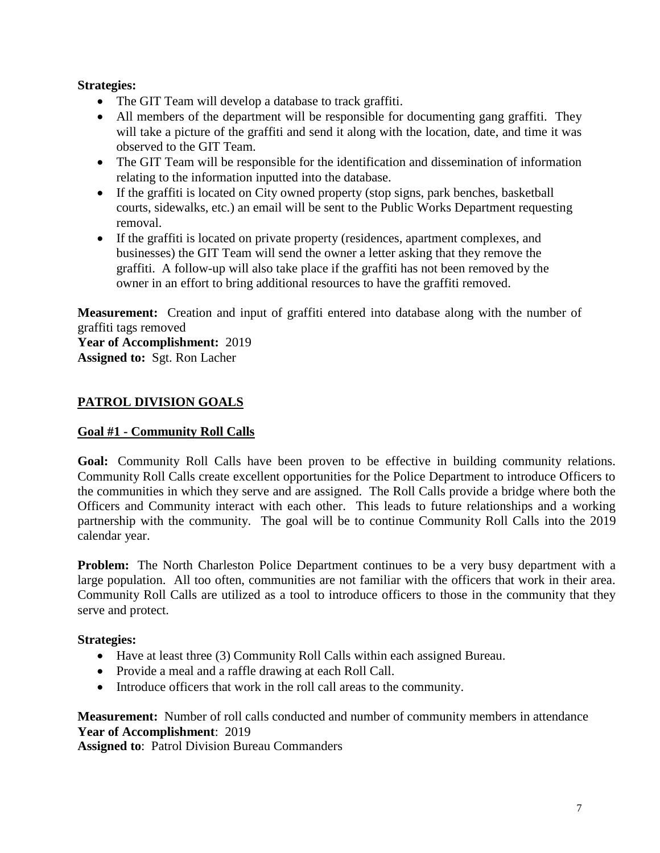#### **Strategies:**

- The GIT Team will develop a database to track graffiti.
- All members of the department will be responsible for documenting gang graffiti. They will take a picture of the graffiti and send it along with the location, date, and time it was observed to the GIT Team.
- The GIT Team will be responsible for the identification and dissemination of information relating to the information inputted into the database.
- If the graffiti is located on City owned property (stop signs, park benches, basketball courts, sidewalks, etc.) an email will be sent to the Public Works Department requesting removal.
- If the graffiti is located on private property (residences, apartment complexes, and businesses) the GIT Team will send the owner a letter asking that they remove the graffiti. A follow-up will also take place if the graffiti has not been removed by the owner in an effort to bring additional resources to have the graffiti removed.

**Measurement:** Creation and input of graffiti entered into database along with the number of graffiti tags removed

**Year of Accomplishment:** 2019 **Assigned to:** Sgt. Ron Lacher

# **PATROL DIVISION GOALS**

## **Goal #1 - Community Roll Calls**

**Goal:** Community Roll Calls have been proven to be effective in building community relations. Community Roll Calls create excellent opportunities for the Police Department to introduce Officers to the communities in which they serve and are assigned. The Roll Calls provide a bridge where both the Officers and Community interact with each other. This leads to future relationships and a working partnership with the community. The goal will be to continue Community Roll Calls into the 2019 calendar year.

**Problem:** The North Charleston Police Department continues to be a very busy department with a large population. All too often, communities are not familiar with the officers that work in their area. Community Roll Calls are utilized as a tool to introduce officers to those in the community that they serve and protect.

#### **Strategies:**

- Have at least three (3) Community Roll Calls within each assigned Bureau.
- Provide a meal and a raffle drawing at each Roll Call.
- Introduce officers that work in the roll call areas to the community.

#### **Measurement:** Number of roll calls conducted and number of community members in attendance **Year of Accomplishment**: 2019

**Assigned to**: Patrol Division Bureau Commanders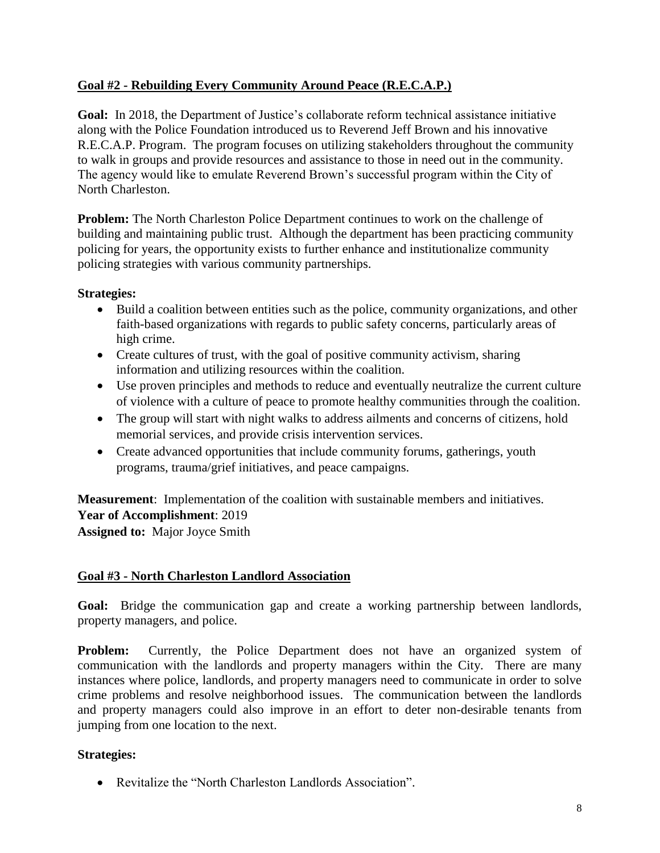# **Goal #2 - Rebuilding Every Community Around Peace (R.E.C.A.P.)**

**Goal:** In 2018, the Department of Justice's collaborate reform technical assistance initiative along with the Police Foundation introduced us to Reverend Jeff Brown and his innovative R.E.C.A.P. Program. The program focuses on utilizing stakeholders throughout the community to walk in groups and provide resources and assistance to those in need out in the community. The agency would like to emulate Reverend Brown's successful program within the City of North Charleston.

**Problem:** The North Charleston Police Department continues to work on the challenge of building and maintaining public trust. Although the department has been practicing community policing for years, the opportunity exists to further enhance and institutionalize community policing strategies with various community partnerships.

**Strategies:**

- Build a coalition between entities such as the police, community organizations, and other faith-based organizations with regards to public safety concerns, particularly areas of high crime.
- Create cultures of trust, with the goal of positive community activism, sharing information and utilizing resources within the coalition.
- Use proven principles and methods to reduce and eventually neutralize the current culture of violence with a culture of peace to promote healthy communities through the coalition.
- The group will start with night walks to address ailments and concerns of citizens, hold memorial services, and provide crisis intervention services.
- Create advanced opportunities that include community forums, gatherings, youth programs, trauma/grief initiatives, and peace campaigns.

**Measurement**: Implementation of the coalition with sustainable members and initiatives. **Year of Accomplishment**: 2019

**Assigned to:** Major Joyce Smith

# **Goal #3 - North Charleston Landlord Association**

**Goal:** Bridge the communication gap and create a working partnership between landlords, property managers, and police.

**Problem:** Currently, the Police Department does not have an organized system of communication with the landlords and property managers within the City. There are many instances where police, landlords, and property managers need to communicate in order to solve crime problems and resolve neighborhood issues. The communication between the landlords and property managers could also improve in an effort to deter non-desirable tenants from jumping from one location to the next.

#### **Strategies:**

• Revitalize the "North Charleston Landlords Association".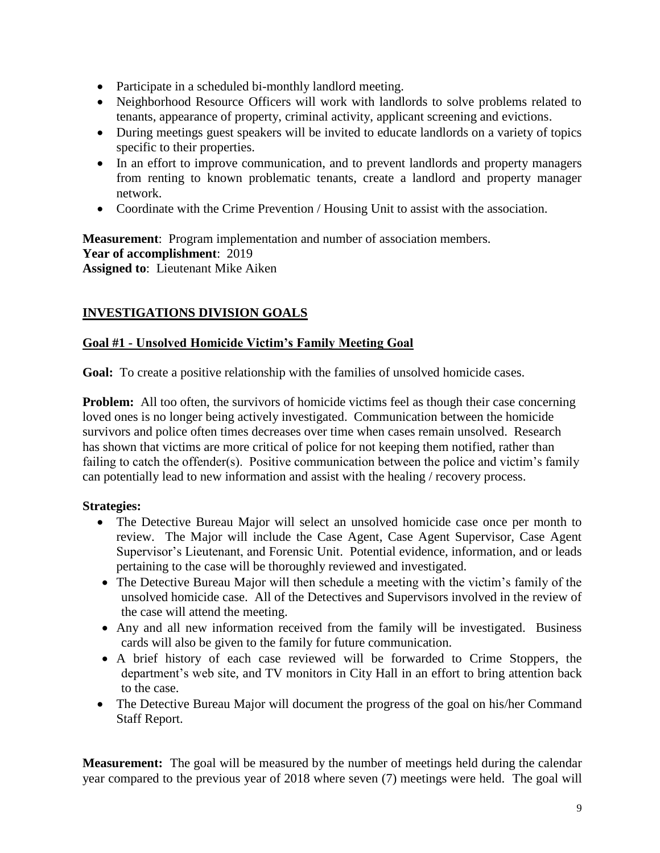- Participate in a scheduled bi-monthly landlord meeting.
- Neighborhood Resource Officers will work with landlords to solve problems related to tenants, appearance of property, criminal activity, applicant screening and evictions.
- During meetings guest speakers will be invited to educate landlords on a variety of topics specific to their properties.
- In an effort to improve communication, and to prevent landlords and property managers from renting to known problematic tenants, create a landlord and property manager network.
- Coordinate with the Crime Prevention / Housing Unit to assist with the association.

**Measurement**: Program implementation and number of association members. **Year of accomplishment**: 2019 **Assigned to**: Lieutenant Mike Aiken

# **INVESTIGATIONS DIVISION GOALS**

## **Goal #1 - Unsolved Homicide Victim's Family Meeting Goal**

Goal: To create a positive relationship with the families of unsolved homicide cases.

**Problem:** All too often, the survivors of homicide victims feel as though their case concerning loved ones is no longer being actively investigated. Communication between the homicide survivors and police often times decreases over time when cases remain unsolved. Research has shown that victims are more critical of police for not keeping them notified, rather than failing to catch the offender(s). Positive communication between the police and victim's family can potentially lead to new information and assist with the healing / recovery process.

#### **Strategies:**

- The Detective Bureau Major will select an unsolved homicide case once per month to review. The Major will include the Case Agent, Case Agent Supervisor, Case Agent Supervisor's Lieutenant, and Forensic Unit. Potential evidence, information, and or leads pertaining to the case will be thoroughly reviewed and investigated.
- The Detective Bureau Major will then schedule a meeting with the victim's family of the unsolved homicide case. All of the Detectives and Supervisors involved in the review of the case will attend the meeting.
- Any and all new information received from the family will be investigated. Business cards will also be given to the family for future communication.
- A brief history of each case reviewed will be forwarded to Crime Stoppers, the department's web site, and TV monitors in City Hall in an effort to bring attention back to the case.
- The Detective Bureau Major will document the progress of the goal on his/her Command Staff Report.

**Measurement:** The goal will be measured by the number of meetings held during the calendar year compared to the previous year of 2018 where seven (7) meetings were held. The goal will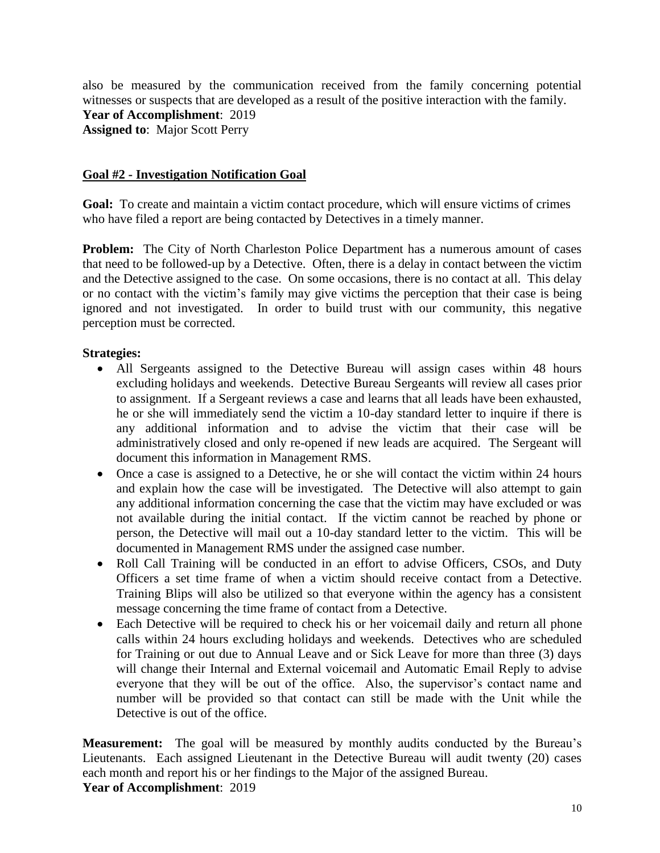also be measured by the communication received from the family concerning potential witnesses or suspects that are developed as a result of the positive interaction with the family. **Year of Accomplishment**: 2019 **Assigned to**: Major Scott Perry

#### **Goal #2 - Investigation Notification Goal**

**Goal:** To create and maintain a victim contact procedure, which will ensure victims of crimes who have filed a report are being contacted by Detectives in a timely manner.

**Problem:** The City of North Charleston Police Department has a numerous amount of cases that need to be followed-up by a Detective. Often, there is a delay in contact between the victim and the Detective assigned to the case. On some occasions, there is no contact at all. This delay or no contact with the victim's family may give victims the perception that their case is being ignored and not investigated. In order to build trust with our community, this negative perception must be corrected.

#### **Strategies:**

- All Sergeants assigned to the Detective Bureau will assign cases within 48 hours excluding holidays and weekends. Detective Bureau Sergeants will review all cases prior to assignment. If a Sergeant reviews a case and learns that all leads have been exhausted, he or she will immediately send the victim a 10-day standard letter to inquire if there is any additional information and to advise the victim that their case will be administratively closed and only re-opened if new leads are acquired. The Sergeant will document this information in Management RMS.
- Once a case is assigned to a Detective, he or she will contact the victim within 24 hours and explain how the case will be investigated. The Detective will also attempt to gain any additional information concerning the case that the victim may have excluded or was not available during the initial contact. If the victim cannot be reached by phone or person, the Detective will mail out a 10-day standard letter to the victim. This will be documented in Management RMS under the assigned case number.
- Roll Call Training will be conducted in an effort to advise Officers, CSOs, and Duty Officers a set time frame of when a victim should receive contact from a Detective. Training Blips will also be utilized so that everyone within the agency has a consistent message concerning the time frame of contact from a Detective.
- Each Detective will be required to check his or her voicemail daily and return all phone calls within 24 hours excluding holidays and weekends. Detectives who are scheduled for Training or out due to Annual Leave and or Sick Leave for more than three (3) days will change their Internal and External voicemail and Automatic Email Reply to advise everyone that they will be out of the office. Also, the supervisor's contact name and number will be provided so that contact can still be made with the Unit while the Detective is out of the office.

**Measurement:** The goal will be measured by monthly audits conducted by the Bureau's Lieutenants. Each assigned Lieutenant in the Detective Bureau will audit twenty (20) cases each month and report his or her findings to the Major of the assigned Bureau. **Year of Accomplishment**: 2019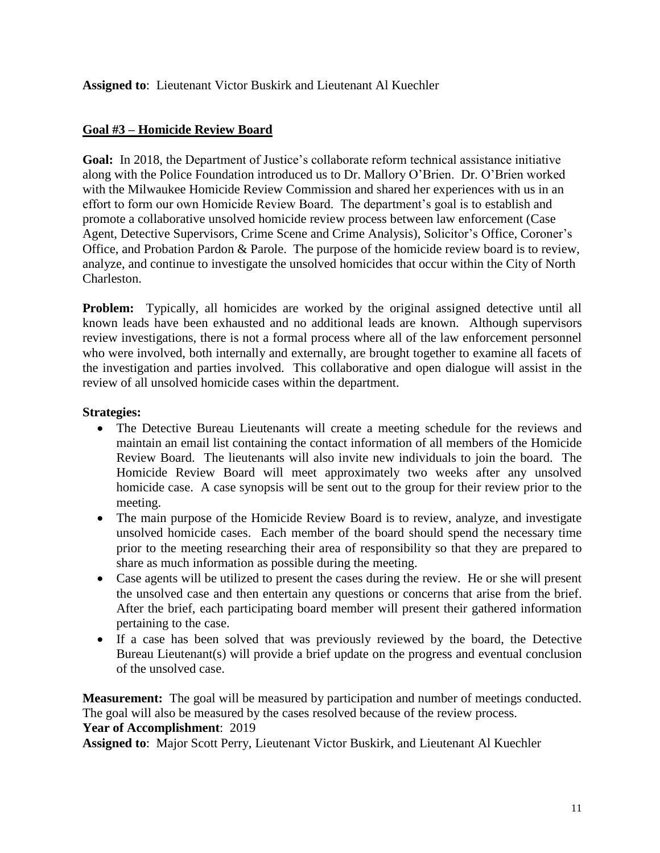**Assigned to**: Lieutenant Victor Buskirk and Lieutenant Al Kuechler

## **Goal #3 – Homicide Review Board**

**Goal:** In 2018, the Department of Justice's collaborate reform technical assistance initiative along with the Police Foundation introduced us to Dr. Mallory O'Brien. Dr. O'Brien worked with the Milwaukee Homicide Review Commission and shared her experiences with us in an effort to form our own Homicide Review Board. The department's goal is to establish and promote a collaborative unsolved homicide review process between law enforcement (Case Agent, Detective Supervisors, Crime Scene and Crime Analysis), Solicitor's Office, Coroner's Office, and Probation Pardon & Parole. The purpose of the homicide review board is to review, analyze, and continue to investigate the unsolved homicides that occur within the City of North Charleston.

**Problem:** Typically, all homicides are worked by the original assigned detective until all known leads have been exhausted and no additional leads are known. Although supervisors review investigations, there is not a formal process where all of the law enforcement personnel who were involved, both internally and externally, are brought together to examine all facets of the investigation and parties involved. This collaborative and open dialogue will assist in the review of all unsolved homicide cases within the department.

#### **Strategies:**

- The Detective Bureau Lieutenants will create a meeting schedule for the reviews and maintain an email list containing the contact information of all members of the Homicide Review Board. The lieutenants will also invite new individuals to join the board. The Homicide Review Board will meet approximately two weeks after any unsolved homicide case. A case synopsis will be sent out to the group for their review prior to the meeting.
- The main purpose of the Homicide Review Board is to review, analyze, and investigate unsolved homicide cases. Each member of the board should spend the necessary time prior to the meeting researching their area of responsibility so that they are prepared to share as much information as possible during the meeting.
- Case agents will be utilized to present the cases during the review. He or she will present the unsolved case and then entertain any questions or concerns that arise from the brief. After the brief, each participating board member will present their gathered information pertaining to the case.
- If a case has been solved that was previously reviewed by the board, the Detective Bureau Lieutenant(s) will provide a brief update on the progress and eventual conclusion of the unsolved case.

**Measurement:** The goal will be measured by participation and number of meetings conducted. The goal will also be measured by the cases resolved because of the review process. **Year of Accomplishment**: 2019

**Assigned to**: Major Scott Perry, Lieutenant Victor Buskirk, and Lieutenant Al Kuechler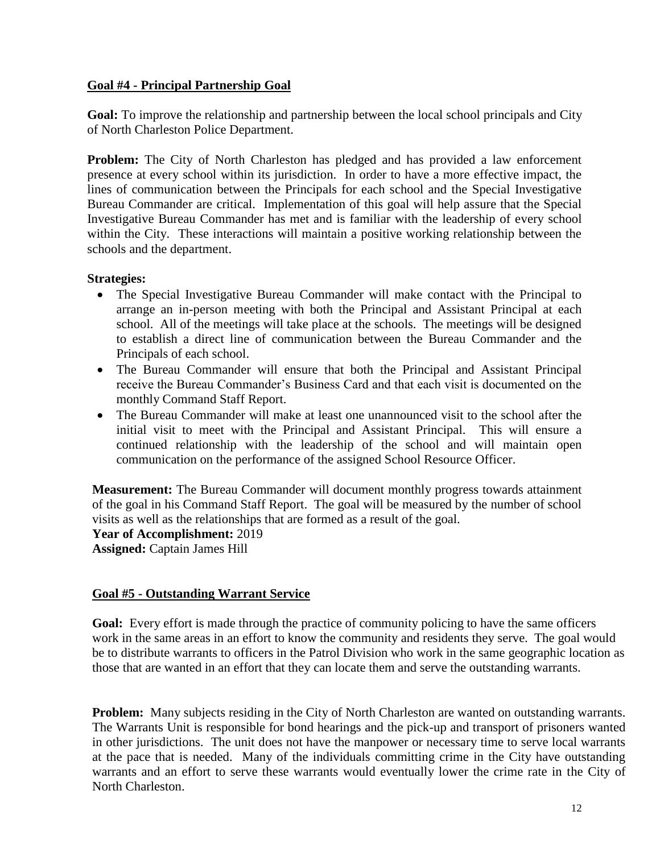#### **Goal #4 - Principal Partnership Goal**

**Goal:** To improve the relationship and partnership between the local school principals and City of North Charleston Police Department.

**Problem:** The City of North Charleston has pledged and has provided a law enforcement presence at every school within its jurisdiction. In order to have a more effective impact, the lines of communication between the Principals for each school and the Special Investigative Bureau Commander are critical. Implementation of this goal will help assure that the Special Investigative Bureau Commander has met and is familiar with the leadership of every school within the City. These interactions will maintain a positive working relationship between the schools and the department.

#### **Strategies:**

- The Special Investigative Bureau Commander will make contact with the Principal to arrange an in-person meeting with both the Principal and Assistant Principal at each school. All of the meetings will take place at the schools. The meetings will be designed to establish a direct line of communication between the Bureau Commander and the Principals of each school.
- The Bureau Commander will ensure that both the Principal and Assistant Principal receive the Bureau Commander's Business Card and that each visit is documented on the monthly Command Staff Report.
- The Bureau Commander will make at least one unannounced visit to the school after the initial visit to meet with the Principal and Assistant Principal. This will ensure a continued relationship with the leadership of the school and will maintain open communication on the performance of the assigned School Resource Officer.

**Measurement:** The Bureau Commander will document monthly progress towards attainment of the goal in his Command Staff Report. The goal will be measured by the number of school visits as well as the relationships that are formed as a result of the goal.

**Year of Accomplishment:** 2019

**Assigned:** Captain James Hill

#### **Goal #5 - Outstanding Warrant Service**

**Goal:** Every effort is made through the practice of community policing to have the same officers work in the same areas in an effort to know the community and residents they serve. The goal would be to distribute warrants to officers in the Patrol Division who work in the same geographic location as those that are wanted in an effort that they can locate them and serve the outstanding warrants.

**Problem:** Many subjects residing in the City of North Charleston are wanted on outstanding warrants. The Warrants Unit is responsible for bond hearings and the pick-up and transport of prisoners wanted in other jurisdictions. The unit does not have the manpower or necessary time to serve local warrants at the pace that is needed. Many of the individuals committing crime in the City have outstanding warrants and an effort to serve these warrants would eventually lower the crime rate in the City of North Charleston.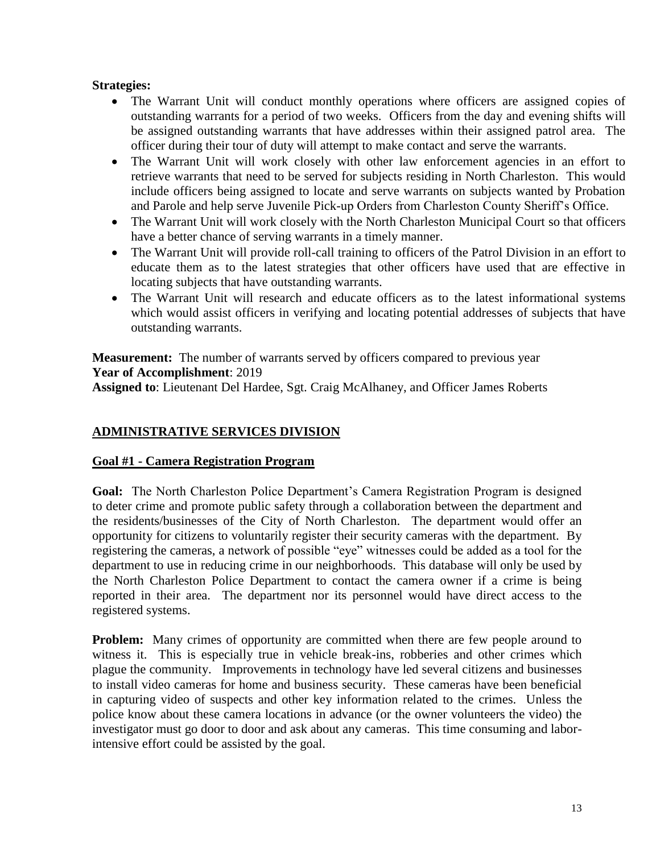#### **Strategies:**

- The Warrant Unit will conduct monthly operations where officers are assigned copies of outstanding warrants for a period of two weeks. Officers from the day and evening shifts will be assigned outstanding warrants that have addresses within their assigned patrol area. The officer during their tour of duty will attempt to make contact and serve the warrants.
- The Warrant Unit will work closely with other law enforcement agencies in an effort to retrieve warrants that need to be served for subjects residing in North Charleston. This would include officers being assigned to locate and serve warrants on subjects wanted by Probation and Parole and help serve Juvenile Pick-up Orders from Charleston County Sheriff's Office.
- The Warrant Unit will work closely with the North Charleston Municipal Court so that officers have a better chance of serving warrants in a timely manner.
- The Warrant Unit will provide roll-call training to officers of the Patrol Division in an effort to educate them as to the latest strategies that other officers have used that are effective in locating subjects that have outstanding warrants.
- The Warrant Unit will research and educate officers as to the latest informational systems which would assist officers in verifying and locating potential addresses of subjects that have outstanding warrants.

**Measurement:** The number of warrants served by officers compared to previous year **Year of Accomplishment**: 2019

**Assigned to**: Lieutenant Del Hardee, Sgt. Craig McAlhaney, and Officer James Roberts

## **ADMINISTRATIVE SERVICES DIVISION**

#### **Goal #1 - Camera Registration Program**

**Goal:** The North Charleston Police Department's Camera Registration Program is designed to deter crime and promote public safety through a collaboration between the department and the residents/businesses of the City of North Charleston. The department would offer an opportunity for citizens to voluntarily register their security cameras with the department. By registering the cameras, a network of possible "eye" witnesses could be added as a tool for the department to use in reducing crime in our neighborhoods. This database will only be used by the North Charleston Police Department to contact the camera owner if a crime is being reported in their area. The department nor its personnel would have direct access to the registered systems.

**Problem:** Many crimes of opportunity are committed when there are few people around to witness it. This is especially true in vehicle break-ins, robberies and other crimes which plague the community. Improvements in technology have led several citizens and businesses to install video cameras for home and business security. These cameras have been beneficial in capturing video of suspects and other key information related to the crimes. Unless the police know about these camera locations in advance (or the owner volunteers the video) the investigator must go door to door and ask about any cameras. This time consuming and laborintensive effort could be assisted by the goal.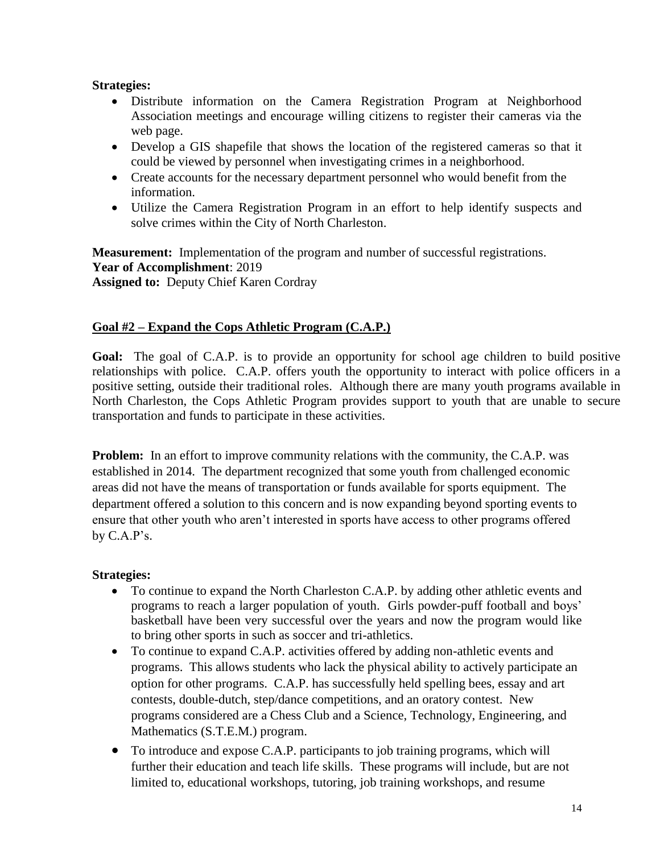#### **Strategies:**

- Distribute information on the Camera Registration Program at Neighborhood Association meetings and encourage willing citizens to register their cameras via the web page.
- Develop a GIS shapefile that shows the location of the registered cameras so that it could be viewed by personnel when investigating crimes in a neighborhood.
- Create accounts for the necessary department personnel who would benefit from the information.
- Utilize the Camera Registration Program in an effort to help identify suspects and solve crimes within the City of North Charleston.

**Measurement:** Implementation of the program and number of successful registrations. **Year of Accomplishment**: 2019 **Assigned to:** Deputy Chief Karen Cordray

#### **Goal #2 – Expand the Cops Athletic Program (C.A.P.)**

**Goal:** The goal of C.A.P. is to provide an opportunity for school age children to build positive relationships with police. C.A.P. offers youth the opportunity to interact with police officers in a positive setting, outside their traditional roles. Although there are many youth programs available in North Charleston, the Cops Athletic Program provides support to youth that are unable to secure transportation and funds to participate in these activities.

**Problem:** In an effort to improve community relations with the community, the C.A.P. was established in 2014. The department recognized that some youth from challenged economic areas did not have the means of transportation or funds available for sports equipment. The department offered a solution to this concern and is now expanding beyond sporting events to ensure that other youth who aren't interested in sports have access to other programs offered by C.A.P's.

#### **Strategies:**

- To continue to expand the North Charleston C.A.P. by adding other athletic events and programs to reach a larger population of youth. Girls powder-puff football and boys' basketball have been very successful over the years and now the program would like to bring other sports in such as soccer and tri-athletics.
- To continue to expand C.A.P. activities offered by adding non-athletic events and programs. This allows students who lack the physical ability to actively participate an option for other programs. C.A.P. has successfully held spelling bees, essay and art contests, double-dutch, step/dance competitions, and an oratory contest. New programs considered are a Chess Club and a Science, Technology, Engineering, and Mathematics (S.T.E.M.) program.
- To introduce and expose C.A.P. participants to job training programs, which will further their education and teach life skills. These programs will include, but are not limited to, educational workshops, tutoring, job training workshops, and resume